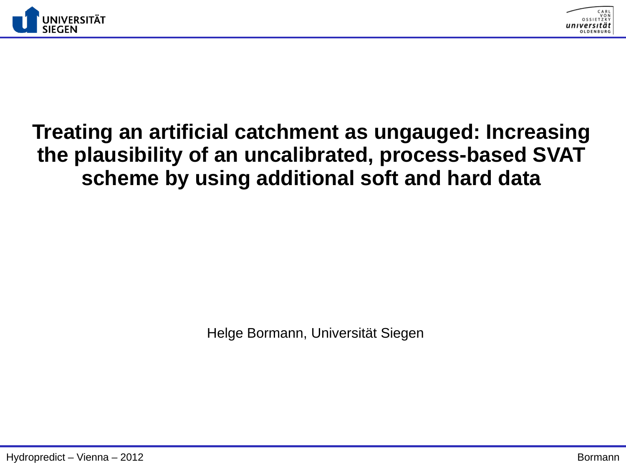



## **Treating an artificial catchment as ungauged: Increasing the plausibility of an uncalibrated, process-based SVAT scheme by using additional soft and hard data**

Helge Bormann, Universität Siegen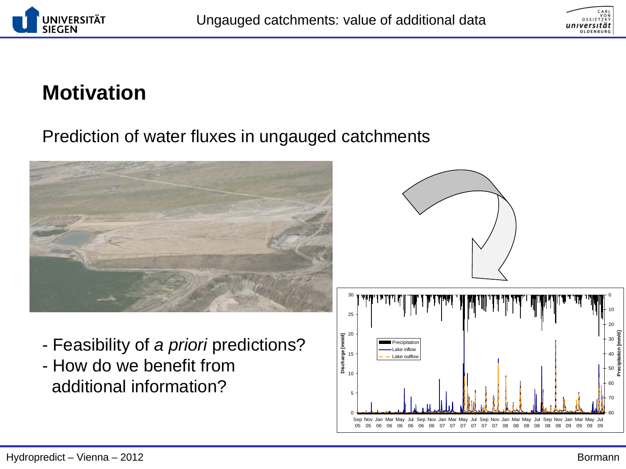



# **Motivation**

#### Prediction of water fluxes in ungauged catchments





- Feasibility of *a priori* predictions?
- How do we benefit from additional information?

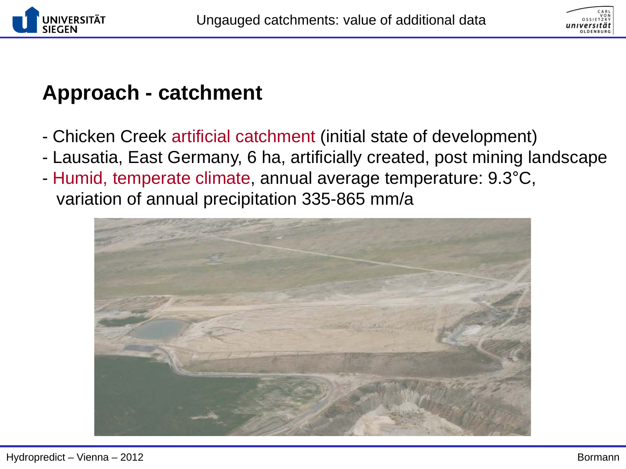



## **Approach - catchment**

- Chicken Creek artificial catchment (initial state of development)
- Lausatia, East Germany, 6 ha, artificially created, post mining landscape
- Humid, temperate climate, annual average temperature: 9.3°C, variation of annual precipitation 335-865 mm/a

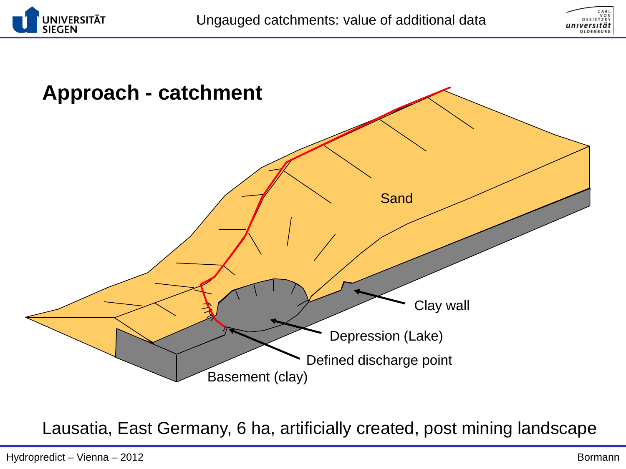





Lausatia, East Germany, 6 ha, artificially created, post mining landscape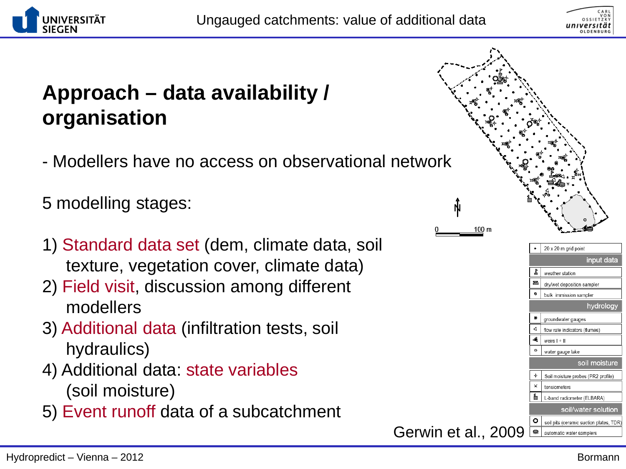



# **Approach – data availability / organisation**

- Modellers have no access on observational network

5 modelling stages:

- 1) Standard data set (dem, climate data, soil texture, vegetation cover, climate data)
- 2) Field visit, discussion among different modellers
- 3) Additional data (infiltration tests, soil hydraulics)
- 4) Additional data: state variables (soil moisture)
- 5) Event runoff data of a subcatchment

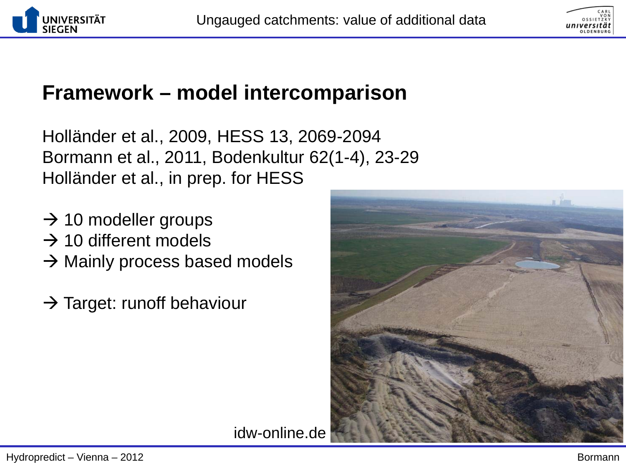



## **Framework – model intercomparison**

Holländer et al., 2009, HESS 13, 2069-2094 Bormann et al., 2011, Bodenkultur 62(1-4), 23-29 Holländer et al., in prep. for HESS

- $\rightarrow$  10 modeller groups
- $\rightarrow$  10 different models
- $\rightarrow$  Mainly process based models
- $\rightarrow$  Target: runoff behaviour



idw-online.de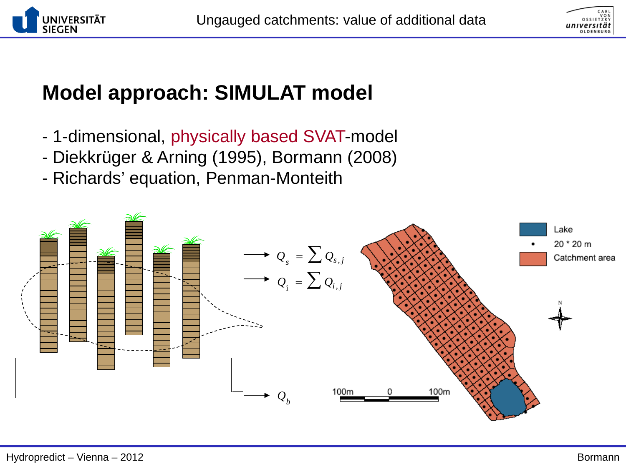



# **Model approach: SIMULAT model**

- 1-dimensional, physically based SVAT-model
- Diekkrüger & Arning (1995), Bormann (2008)
- Richards' equation, Penman-Monteith

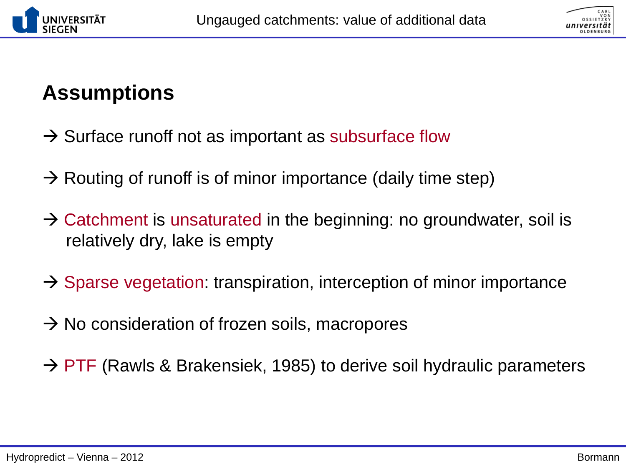



## **Assumptions**

- $\rightarrow$  Surface runoff not as important as subsurface flow
- $\rightarrow$  Routing of runoff is of minor importance (daily time step)
- $\rightarrow$  Catchment is unsaturated in the beginning: no groundwater, soil is relatively dry, lake is empty
- $\rightarrow$  Sparse vegetation: transpiration, interception of minor importance
- $\rightarrow$  No consideration of frozen soils, macropores
- $\rightarrow$  PTF (Rawls & Brakensiek, 1985) to derive soil hydraulic parameters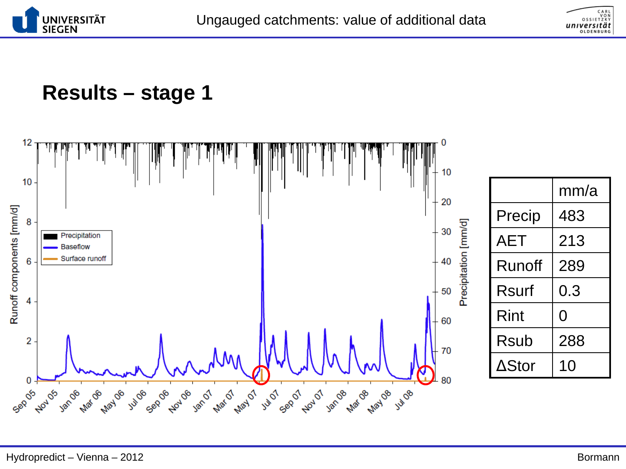



### **Results – stage 1**

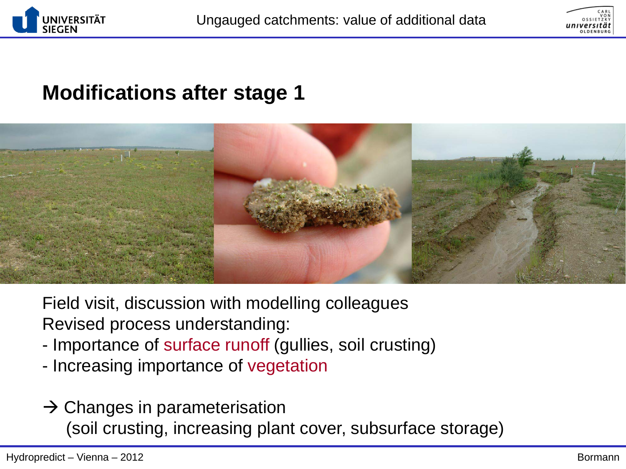





Field visit, discussion with modelling colleagues Revised process understanding:

- Importance of surface runoff (gullies, soil crusting)
- Increasing importance of vegetation
- $\rightarrow$  Changes in parameterisation (soil crusting, increasing plant cover, subsurface storage)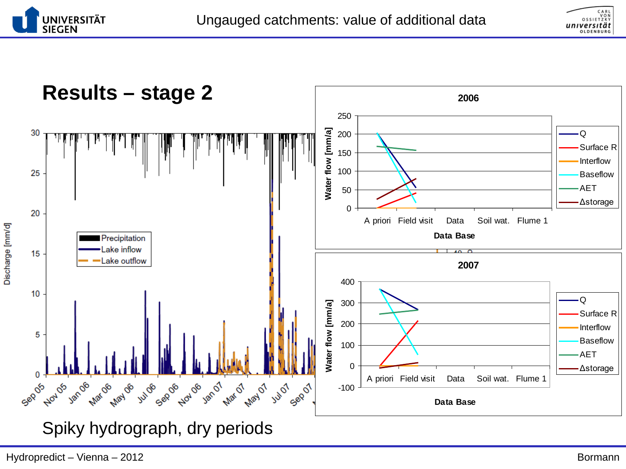



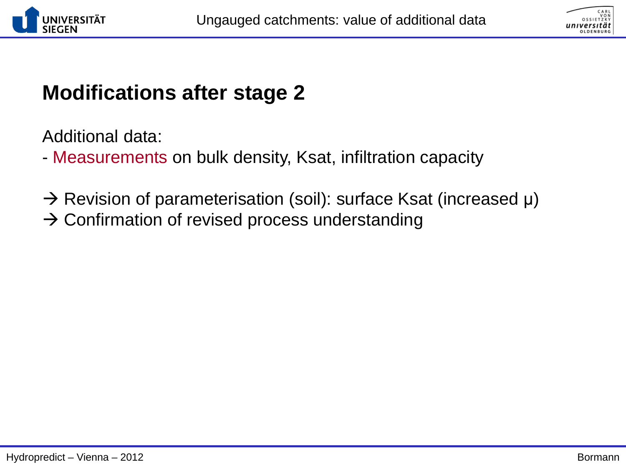



Additional data:

- Measurements on bulk density, Ksat, infiltration capacity

- $\rightarrow$  Revision of parameterisation (soil): surface Ksat (increased  $\mu$ )
- $\rightarrow$  Confirmation of revised process understanding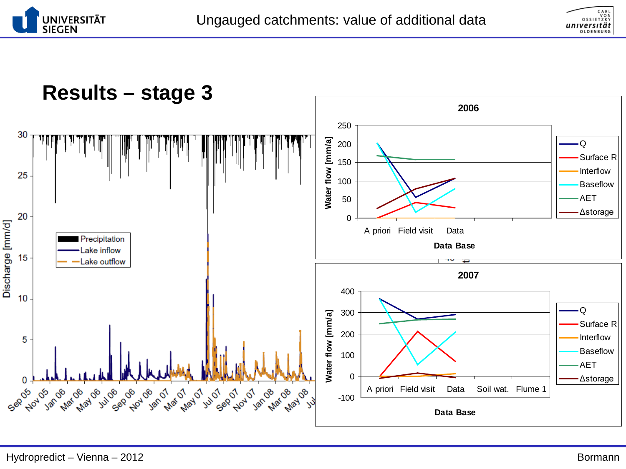



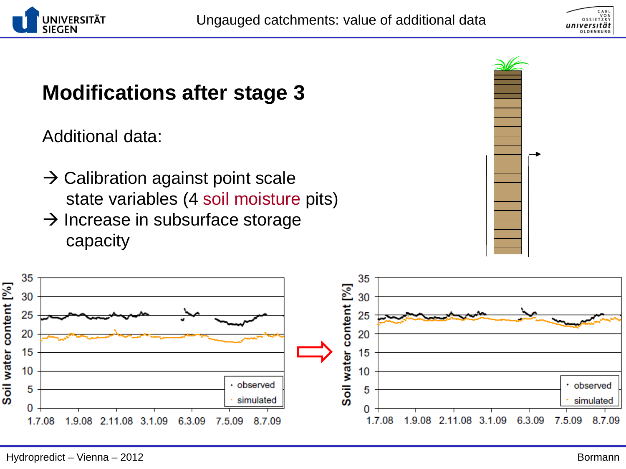



Additional data:

- $\rightarrow$  Calibration against point scale state variables (4 soil moisture pits)
- $\rightarrow$  Increase in subsurface storage capacity



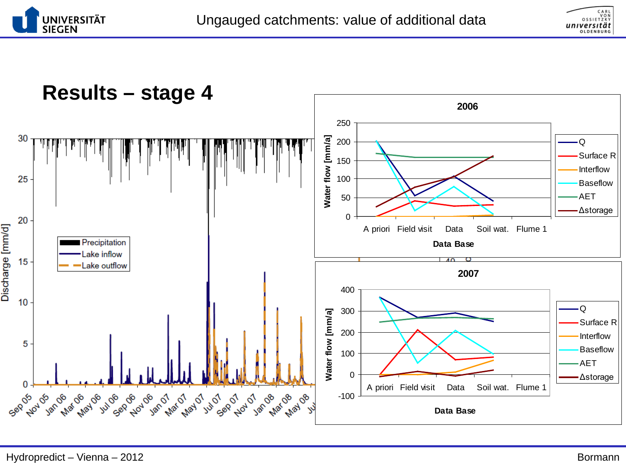



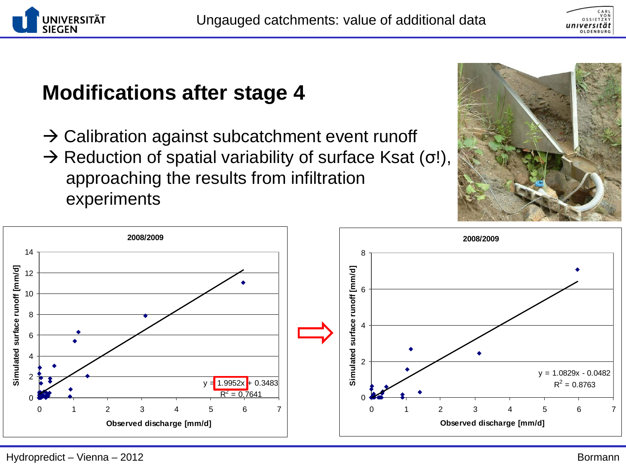



- $\rightarrow$  Calibration against subcatchment event runoff
- $\rightarrow$  Reduction of spatial variability of surface Ksat (σ!), approaching the results from infiltration experiments

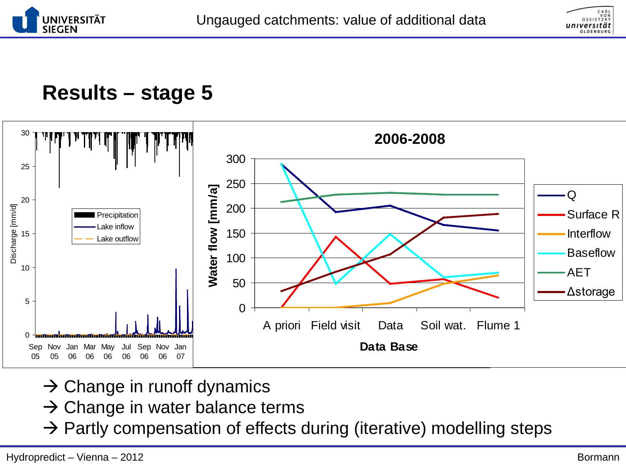



### **Results – stage 5**



- $\rightarrow$  Change in runoff dynamics
- $\rightarrow$  Change in water balance terms
- $\rightarrow$  Partly compensation of effects during (iterative) modelling steps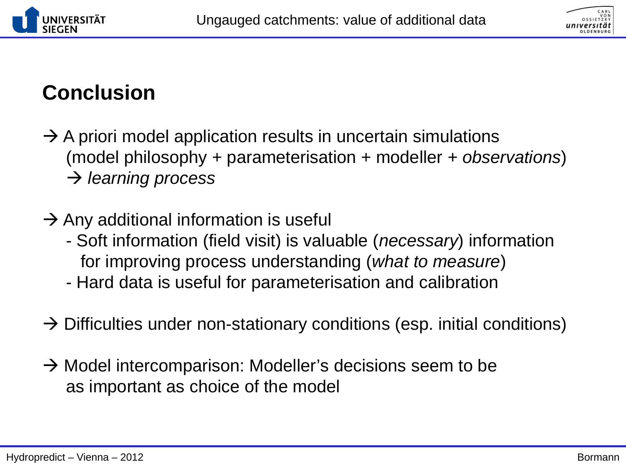



# **Conclusion**

- $\rightarrow$  A priori model application results in uncertain simulations (model philosophy + parameterisation + modeller *+ observations*) *learning process*
- $\rightarrow$  Any additional information is useful
	- Soft information (field visit) is valuable (*necessary*) information for improving process understanding (*what to measure*)
	- Hard data is useful for parameterisation and calibration
- $\rightarrow$  Difficulties under non-stationary conditions (esp. initial conditions)
- $\rightarrow$  Model intercomparison: Modeller's decisions seem to be as important as choice of the model